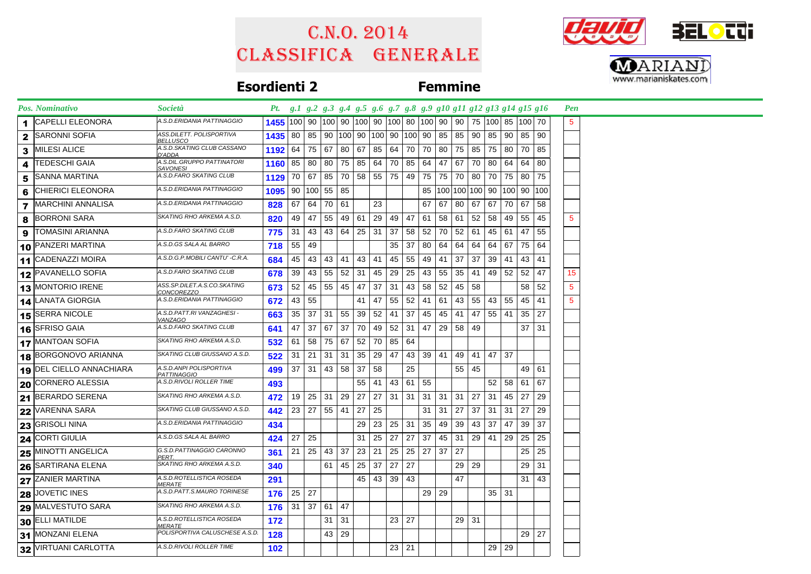## Classifica generale C.n.o. 2014





## **Esordienti 2 Femmine**

|    | <b>Pos. Nominativo</b>   | <i>Società</i>                                    | Pt. g.1 g.2 g.3 g.4 g.5 g.6 g.7 g.8 g.9 g10 g11 g12 g13 g14 g15 g16                         |       |                              |                      |              |                 |                |              |                      |                 |    |              |          |       |              |                                            |         | <b>Pen</b>       |  |  |  |
|----|--------------------------|---------------------------------------------------|---------------------------------------------------------------------------------------------|-------|------------------------------|----------------------|--------------|-----------------|----------------|--------------|----------------------|-----------------|----|--------------|----------|-------|--------------|--------------------------------------------|---------|------------------|--|--|--|
|    | <b>CAPELLI ELEONORA</b>  | A.S.D.ERIDANIA PATTINAGGIO                        | 1455   100   90   100   90   100   90   100   80   100   90   90   75   100   85   100   70 |       |                              |                      |              |                 |                |              |                      |                 |    |              |          |       |              |                                            |         | $5^{\circ}$      |  |  |  |
| 2  | <b>SARONNI SOFIA</b>     | ASS.DILETT. POLISPORTIVA<br><u>BELLUSCO</u>       | 1435   80   85   90  100  90  100  90  100  90                                              |       |                              |                      |              |                 |                |              |                      |                 |    | 85   85      | 90       |       | 85 90        | 85   90                                    |         |                  |  |  |  |
| 3  | <b>MILESI ALICE</b>      | A.S.D.SKATING CLUB CASSANO<br>D'ADDA              | 1192                                                                                        |       | 64 75 67                     |                      |              | 80 67           | 85             |              | 64 70                | 70              |    |              | 80 75 85 |       | 75 80        | 70                                         | 85      |                  |  |  |  |
|    | <b>TEDESCHI GAIA</b>     | A.S.DIL.GRUPPO PATTINATORI<br><u>SAVONESI</u>     | 1160 85                                                                                     |       | 80 l                         | 80                   | 75           | 85              | 64 70 85       |              |                      | 64              | 47 | 67           | 70       | 80    | 64           | 64                                         | 80      |                  |  |  |  |
| 5. | <b>SANNA MARTINA</b>     | A.S.D.FARO SKATING CLUB                           | 1129                                                                                        |       | 70 67                        | 85                   | 70           |                 | 58 55 75 49    |              |                      | 75              |    | 75 70        | 80       |       | 70 75        | 80                                         | 75      |                  |  |  |  |
| 6  | <b>CHIERICI ELEONORA</b> | A.S.D.ERIDANIA PATTINAGGIO                        | $1095$ 90 100 55 85                                                                         |       |                              |                      |              |                 |                |              |                      |                 |    |              |          |       |              | 85   100   100   100   90   100   90   100 |         |                  |  |  |  |
|    | <b>MARCHINI ANNALISA</b> | A.S.D.ERIDANIA PATTINAGGIO                        | 828                                                                                         | 67    |                              | 64 70 61             |              |                 | 23             |              |                      | 67              | 67 | 80           |          | 67 67 | 70           | 67                                         | 58      |                  |  |  |  |
|    | BORRONI SARA             | SKATING RHO ARKEMA A.S.D.                         | 820                                                                                         |       | 49   47                      | 55                   | 49           | 61              | 29             | 49 47        |                      | 61              | 58 | 61           | 52       | 58    | 49           | 55                                         | 45      | $5\phantom{.0}$  |  |  |  |
| 9  | <b>TOMASINI ARIANNA</b>  | A.S.D.FARO SKATING CLUB                           | 775                                                                                         | 31    |                              |                      |              |                 | 43 43 64 25 31 | 37           | 58                   | 52              |    | 70 52        | 61       |       | 45 61        | 47                                         | 55      |                  |  |  |  |
|    | 10 PANZERI MARTINA       | A.S.D.GS SALA AL BARRO                            | 718                                                                                         | 55 49 |                              |                      |              |                 |                |              | $35 \mid 37$         | 80              |    | 64 64        | 64       |       | 64 67        | 75 64                                      |         |                  |  |  |  |
|    | 11 CADENAZZI MOIRA       | A.S.D.G.P.MOBILI CANTU' -C.R.A.                   | 684                                                                                         | 45    | 43                           | 43                   | 41           | 43 41           |                | 45 55        |                      | 49              | 41 | 37           | 37       |       | $39$ 41      | 43                                         | 41      |                  |  |  |  |
|    | 12 PAVANELLO SOFIA       | A.S.D.FARO SKATING CLUB                           | 678                                                                                         | 39    | 43                           | 55 52                |              | 31              | 45             | 29           | 25                   | 43              | 55 | 35           | 41       |       | 49 52        | 52                                         | 47      | 15 <sub>15</sub> |  |  |  |
|    | 13 MONTORIO IRENE        | ASS.SP.DILET.A.S.CO.SKATING<br>CONCOREZZO         | 673                                                                                         |       | $52$   45   55   45   47     |                      |              |                 | 37             | -31          | 43 58                |                 |    | $52 \mid 45$ | 58       |       |              | 58                                         | 52      | $\overline{5}$   |  |  |  |
|    | 14 LANATA GIORGIA        | A.S.D.ERIDANIA PATTINAGGIO                        | 672                                                                                         |       | 43 55                        |                      |              | 41              | 47             |              | $55$ 52              | 41              |    | $61 \mid 43$ | 55       |       | 43 55        | 45                                         | 41      | 5 <sup>5</sup>   |  |  |  |
|    | 15 SERRA NICOLE          | A.S.D.PATT.RI VANZAGHESI -<br>/ANZAGO             | 663                                                                                         | 35    | 37                           |                      | $31 \mid 55$ | 39              | 52             | 41           | 37                   | 45              |    | $45 \mid 41$ | 47       |       | $55$   41    | 35                                         | 27      |                  |  |  |  |
|    | 16 SFRISO GAIA           | A.S.D.FARO SKATING CLUB                           | 641                                                                                         | 47    |                              | 37 67 37             |              | 70              | 49             |              | $52$ 31              | 47              |    |              | 29 58 49 |       |              |                                            | $37$ 31 |                  |  |  |  |
|    | 17 MANTOAN SOFIA         | SKATING RHO ARKEMA A.S.D.                         | 532                                                                                         | 61    | 58                           | 75 67                |              | 52              | 70             | 85 64        |                      |                 |    |              |          |       |              |                                            |         |                  |  |  |  |
|    | 18 BORGONOVO ARIANNA     | SKATING CLUB GIUSSANO A.S.D.                      | 522                                                                                         | 31    | 21                           | $31 \mid 31$         |              | 35 <sup>1</sup> | 29             | 47           | 43                   | 39 <sup>°</sup> |    |              | 41 49 41 |       | 47 37        |                                            |         |                  |  |  |  |
|    | 19 DEL CIELLO ANNACHIARA | A.S.D.ANPI POLISPORTIVA<br>PATTINAGGIO            | 499                                                                                         | 37    |                              | $31 \mid 43 \mid 58$ |              | 37              | 58             |              | 25                   |                 |    | 55           | 45       |       |              |                                            | 49 61   |                  |  |  |  |
|    | 20 CORNERO ALESSIA       | A.S.D.RIVOLI ROLLER TIME                          | 493                                                                                         |       |                              |                      |              | 55              | 41             | 43           | $61 \mid 55$         |                 |    |              |          |       | 52 58        | 61                                         | 67      |                  |  |  |  |
|    | 21 BERARDO SERENA        | SKATING RHO ARKEMA A.S.D.                         | 472                                                                                         |       | 19 25 31 29 27               |                      |              |                 | 27             | $31 \mid 31$ |                      | 31              |    | $31 \mid 31$ | 27       | 31    | 45           | 27                                         | 29      |                  |  |  |  |
|    | 22 VARENNA SARA          | SKATING CLUB GIUSSANO A.S.D.                      | 442                                                                                         | 23    | 27 55 41                     |                      |              | 27              | 25             |              |                      | 31              | 31 | 27           | 37       | 31    | 31           | 27                                         | 29      |                  |  |  |  |
|    | $23$ GRISOLI NINA        | A.S.D.ERIDANIA PATTINAGGIO                        | 434                                                                                         |       |                              |                      |              | 29              | $23 \mid$      | $25 \mid 31$ |                      | 35              | 49 | 39           | 43       | 37    | 47           | 39                                         | 37      |                  |  |  |  |
|    | $24$ CORTI GIULIA        | A.S.D.GS SALA AL BARRO                            | 424                                                                                         | 27    | 25                           |                      |              | 31              | 25             | 27           | 27                   | 37              |    | 45 31        |          | 29 41 | 29           | 25                                         | 25      |                  |  |  |  |
|    | 25 MINOTTI ANGELICA      | G.S.D.PATTINAGGIO CARONNO<br>PERT.                | 361                                                                                         | 21    | 25                           | 43 37                |              | 23              | 21             |              | $25 \mid 25 \mid 27$ |                 | 37 | 27           |          |       |              | 25                                         | 25      |                  |  |  |  |
|    | 26 SARTIRANA ELENA       | SKATING RHO ARKEMA A.S.D.                         | 340                                                                                         |       |                              | 61                   | 45           | 25              | 37             | 27           | 27                   |                 |    | 29           | 29       |       |              | 29                                         | 31      |                  |  |  |  |
|    | 27 ZANIER MARTINA        | A.S.D.ROTELLISTICA ROSEDA<br><i>MERATE</i>        | 291                                                                                         |       |                              |                      |              |                 | 45 43 39 43    |              |                      |                 |    | 47           |          |       |              |                                            | 31   43 |                  |  |  |  |
|    | $28$ JOVETIC INES        | A.S.D.PATT.S.MAURO TORINESE                       | 176                                                                                         | 25 27 |                              |                      |              |                 |                |              |                      | 29 <sub>1</sub> | 29 |              |          |       | $35 \mid 31$ |                                            |         |                  |  |  |  |
|    | 29 MALVESTUTO SARA       | SKATING RHO ARKEMA A.S.D.                         | 176                                                                                         |       | $31 \mid 37 \mid 61 \mid 47$ |                      |              |                 |                |              |                      |                 |    |              |          |       |              |                                            |         |                  |  |  |  |
|    | 30 ELLI MATILDE          | A.S.D.ROTELLISTICA ROSEDA<br><i><b>MERATE</b></i> | 172                                                                                         |       |                              | 31                   | 31           |                 |                | $23 \mid 27$ |                      |                 |    |              | $29$ 31  |       |              |                                            |         |                  |  |  |  |
|    | 31 MONZANI ELENA         | POLISPORTIVA CALUSCHESE A.S.D.                    | 128                                                                                         |       |                              |                      | 43 29        |                 |                |              |                      |                 |    |              |          |       |              | 29                                         | 27      |                  |  |  |  |
|    | 32 VIRTUANI CARLOTTA     | A.S.D.RIVOLI ROLLER TIME                          | 102                                                                                         |       |                              |                      |              |                 |                | 23   21      |                      |                 |    |              |          |       | 29 29        |                                            |         |                  |  |  |  |